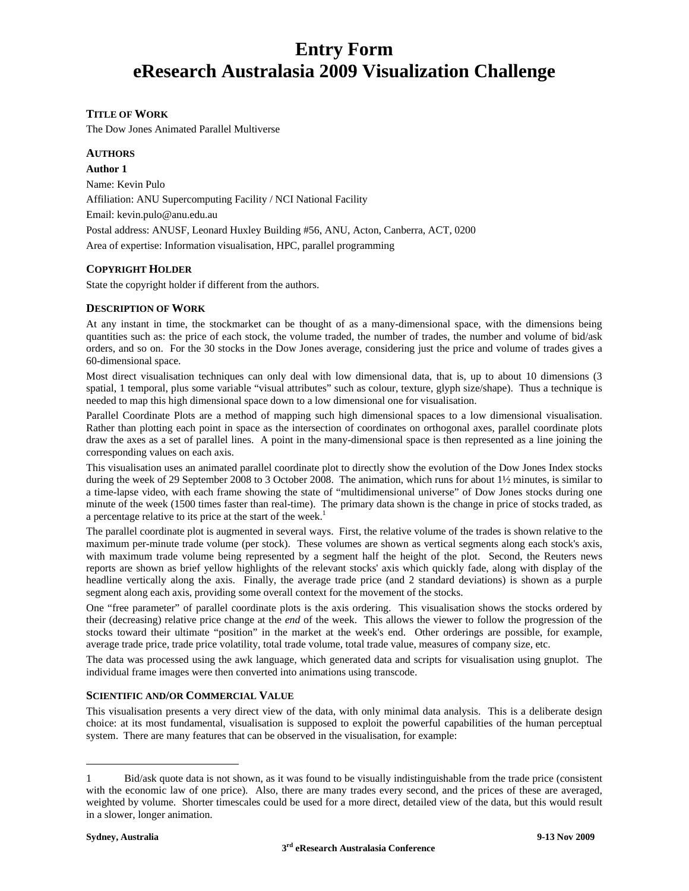# **Entry Form eResearch Australasia 2009 Visualization Challenge**

# **TITLE OF WORK**

The Dow Jones Animated Parallel Multiverse

## **AUTHORS**

**Author 1**  Name: Kevin Pulo Affiliation: ANU Supercomputing Facility / NCI National Facility Email: kevin.pulo@anu.edu.au Postal address: ANUSF, Leonard Huxley Building #56, ANU, Acton, Canberra, ACT, 0200 Area of expertise: Information visualisation, HPC, parallel programming

# **COPYRIGHT HOLDER**

State the copyright holder if different from the authors.

#### **DESCRIPTION OF WORK**

At any instant in time, the stockmarket can be thought of as a many-dimensional space, with the dimensions being quantities such as: the price of each stock, the volume traded, the number of trades, the number and volume of bid/ask orders, and so on. For the 30 stocks in the Dow Jones average, considering just the price and volume of trades gives a 60-dimensional space.

Most direct visualisation techniques can only deal with low dimensional data, that is, up to about 10 dimensions (3 spatial, 1 temporal, plus some variable "visual attributes" such as colour, texture, glyph size/shape). Thus a technique is needed to map this high dimensional space down to a low dimensional one for visualisation.

Parallel Coordinate Plots are a method of mapping such high dimensional spaces to a low dimensional visualisation. Rather than plotting each point in space as the intersection of coordinates on orthogonal axes, parallel coordinate plots draw the axes as a set of parallel lines. A point in the many-dimensional space is then represented as a line joining the corresponding values on each axis.

This visualisation uses an animated parallel coordinate plot to directly show the evolution of the Dow Jones Index stocks during the week of 29 September 2008 to 3 October 2008. The animation, which runs for about 1½ minutes, is similar to a time-lapse video, with each frame showing the state of "multidimensional universe" of Dow Jones stocks during one minute of the week (1500 times faster than real-time). The primary data shown is the change in price of stocks traded, as a percentage relative to its price at the start of the week.<sup>1</sup>

The parallel coordinate plot is augmented in several ways. First, the relative volume of the trades is shown relative to the maximum per-minute trade volume (per stock). These volumes are shown as vertical segments along each stock's axis, with maximum trade volume being represented by a segment half the height of the plot. Second, the Reuters news reports are shown as brief yellow highlights of the relevant stocks' axis which quickly fade, along with display of the headline vertically along the axis. Finally, the average trade price (and 2 standard deviations) is shown as a purple segment along each axis, providing some overall context for the movement of the stocks.

One "free parameter" of parallel coordinate plots is the axis ordering. This visualisation shows the stocks ordered by their (decreasing) relative price change at the *end* of the week. This allows the viewer to follow the progression of the stocks toward their ultimate "position" in the market at the week's end. Other orderings are possible, for example, average trade price, trade price volatility, total trade volume, total trade value, measures of company size, etc.

The data was processed using the awk language, which generated data and scripts for visualisation using gnuplot. The individual frame images were then converted into animations using transcode.

#### **SCIENTIFIC AND/OR COMMERCIAL VALUE**

This visualisation presents a very direct view of the data, with only minimal data analysis. This is a deliberate design choice: at its most fundamental, visualisation is supposed to exploit the powerful capabilities of the human perceptual system. There are many features that can be observed in the visualisation, for example:

l

<sup>1</sup> Bid/ask quote data is not shown, as it was found to be visually indistinguishable from the trade price (consistent with the economic law of one price). Also, there are many trades every second, and the prices of these are averaged, weighted by volume. Shorter timescales could be used for a more direct, detailed view of the data, but this would result in a slower, longer animation.